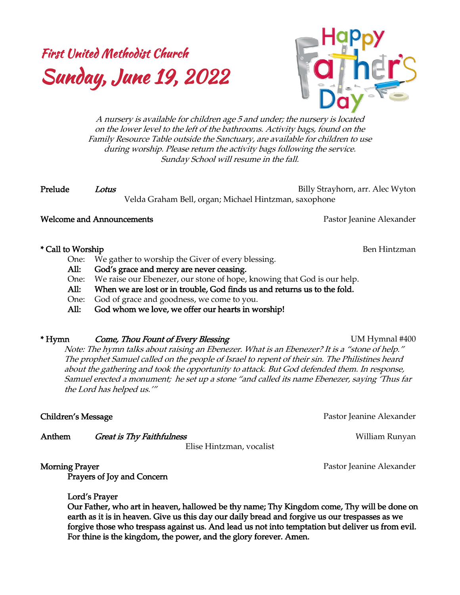# First United Methodist Church Sunday, June 19, 2022



*A nursery is available for children age 5 and under; the nursery is located on the lower level to the left of the bathrooms. Activity bags, found on the Family Resource Table outside the Sanctuary, are available for children to use during worship. Please return the activity bags following the service. Sunday School will resume in the fall.*

*Prelude Lotus Billy Strayhorn, arr. Alec Wyton Velda Graham Bell, organ; Michael Hintzman, saxophone*

### *Welcome and Announcements Pastor Jeanine Alexander*

### *\* Call to Worship Ben Hintzman*

- *One: We gather to worship the Giver of every blessing.*
- *All: God's grace and mercy are never ceasing.*
- *One: We raise our Ebenezer, our stone of hope, knowing that God is our help.*
- *All: When we are lost or in trouble, God finds us and returns us to the fold.*
- *One: God of grace and goodness, we come to you.*
- *All: God whom we love, we offer our hearts in worship!*

### *\* Hymn Come, Thou Fount of Every Blessing UM Hymnal #400*

*Note: The hymn talks about raising an Ebenezer. What is an Ebenezer? It is a "stone of help." The prophet Samuel called on the people of Israel to repent of their sin. The Philistines heard about the gathering and took the opportunity to attack. But God defended them. In response, Samuel erected a monument; he set up a stone "and called its name Ebenezer, saying 'Thus far the Lord has helped us.'"*

**Anthem** *<i>Great is Thy Faithfulness William Runyan* 

*Elise Hintzman, vocalist*

*Prayers of Joy and Concern* 

### *Lord's Prayer*

*Our Father, who art in heaven, hallowed be thy name; Thy Kingdom come, Thy will be done on earth as it is in heaven. Give us this day our daily bread and forgive us our trespasses as we forgive those who trespass against us. And lead us not into temptation but deliver us from evil.*  For thine is the kingdom, the power, and the glory forever. Amen.

*Children's Message Pastor Jeanine Alexander*

*Morning Prayer* Pastor Jeanine Alexander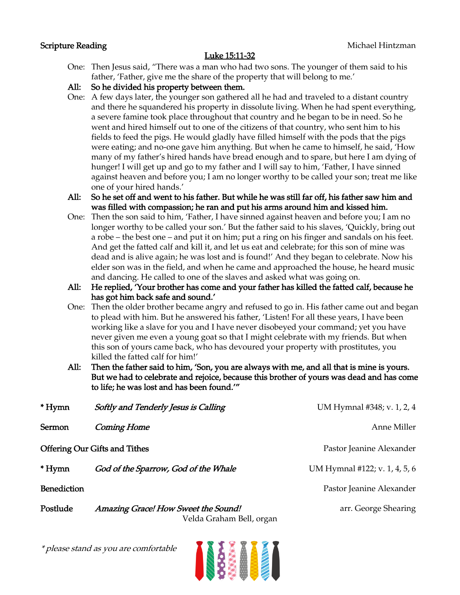### *Luke 15:11-32*

- *One: Then Jesus said, "There was a man who had two sons. The younger of them said to his father, 'Father, give me the share of the property that will belong to me.'*
- *All: So he divided his property between them.*
- *One: A few days later, the younger son gathered all he had and traveled to a distant country and there he squandered his property in dissolute living. When he had spent everything, a* severe famine took place throughout that country and he began to be in need. So he *went and hired himself out to one of the citizens of that country, who sent him to his fields to feed the pigs. He would gladly have filled himself with the pods that the pigs were eating; and no-one gave him anything. But when he came to himself, he said, 'How many of my father's hired hands have bread enough and to spare, but here I am dying of hunger! I will get up and go to my father and I will say to him, 'Father, I have sinned against heaven and before you; I am no longer worthy to be called your son; treat me like one of your hired hands.'*
- *All: So he set off and went to his father. But while he was still far off, his father saw him and was filled with compassion; he ran and put his arms around him and kissed him.*
- *One: Then the son said to him, 'Father, I have sinned against heaven and before you; I am no longer worthy to be called your son.' But the father said to his slaves, 'Quickly, bring out a robe – the best one – and put it on him; put a ring on his finger and sandals on his feet. And get the fatted calf and kill it, and let us eat and celebrate; for this son of mine was dead and is alive again; he was lost and is found!' And they began to celebrate. Now his elder son was in the field, and when he came and approached the house, he heard music and dancing. He called to one of the slaves and asked what was going on.*
- *All: He replied, 'Your brother has come and your father has killed the fatted calf, because he has got him back safe and sound.'*
- *One: Then the older brother became angry and refused to go in. His father came out and began to plead with him. But he answered his father, 'Listen! For all these years, I have been working like a slave for you and I have never disobeyed your command; yet you have never given me even a young goat so that I might celebrate with my friends. But when this son of yours came back, who has devoured your property with prostitutes, you killed the fatted calf for him!'*
- *All: Then the father said to him, 'Son, you are always with me, and all that is mine is yours. But we had to celebrate and rejoice, because this brother of yours was dead and has come to life; he was lost and has been found.'"*

| * Hymn                               | Softly and Tenderly Jesus is Calling                            | UM Hymnal #348; v. 1, 2, 4    |
|--------------------------------------|-----------------------------------------------------------------|-------------------------------|
| Sermon                               | <b>Coming Home</b>                                              | Anne Miller                   |
| <b>Offering Our Gifts and Tithes</b> |                                                                 | Pastor Jeanine Alexander      |
| * Hymn                               | God of the Sparrow, God of the Whale                            | UM Hymnal #122; v. 1, 4, 5, 6 |
| <b>Benediction</b>                   |                                                                 | Pastor Jeanine Alexander      |
| Postlude                             | Amazing Grace! How Sweet the Sound!<br>Velda Graham Bell, organ | arr. George Shearing          |

*\* please stand as you are comfortable*